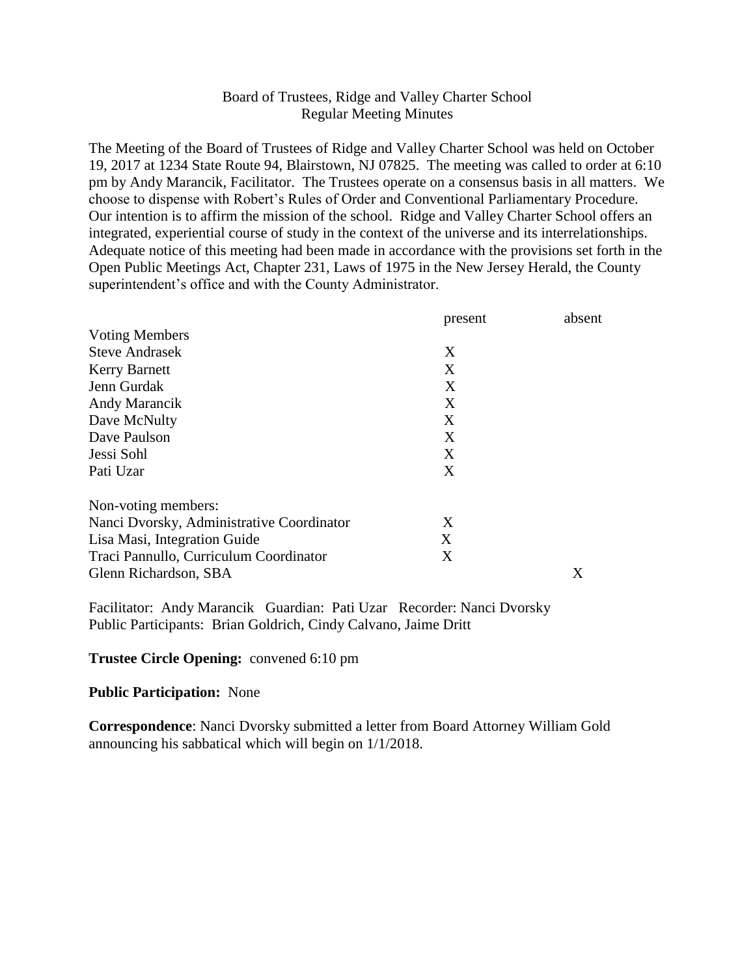# Board of Trustees, Ridge and Valley Charter School Regular Meeting Minutes

The Meeting of the Board of Trustees of Ridge and Valley Charter School was held on October 19, 2017 at 1234 State Route 94, Blairstown, NJ 07825. The meeting was called to order at 6:10 pm by Andy Marancik, Facilitator. The Trustees operate on a consensus basis in all matters. We choose to dispense with Robert's Rules of Order and Conventional Parliamentary Procedure. Our intention is to affirm the mission of the school. Ridge and Valley Charter School offers an integrated, experiential course of study in the context of the universe and its interrelationships. Adequate notice of this meeting had been made in accordance with the provisions set forth in the Open Public Meetings Act, Chapter 231, Laws of 1975 in the New Jersey Herald, the County superintendent's office and with the County Administrator.

|                                           | present | absent |
|-------------------------------------------|---------|--------|
| <b>Voting Members</b>                     |         |        |
| <b>Steve Andrasek</b>                     | X       |        |
| <b>Kerry Barnett</b>                      | X       |        |
| Jenn Gurdak                               | X       |        |
| Andy Marancik                             | X       |        |
| Dave McNulty                              | X       |        |
| Dave Paulson                              | X       |        |
| Jessi Sohl                                | X       |        |
| Pati Uzar                                 | X       |        |
| Non-voting members:                       |         |        |
| Nanci Dvorsky, Administrative Coordinator | X       |        |
| Lisa Masi, Integration Guide              | X       |        |
| Traci Pannullo, Curriculum Coordinator    | X       |        |
| Glenn Richardson, SBA                     |         | X      |

Facilitator: Andy Marancik Guardian: Pati Uzar Recorder: Nanci Dvorsky Public Participants: Brian Goldrich, Cindy Calvano, Jaime Dritt

### **Trustee Circle Opening:** convened 6:10 pm

#### **Public Participation:** None

**Correspondence**: Nanci Dvorsky submitted a letter from Board Attorney William Gold announcing his sabbatical which will begin on 1/1/2018.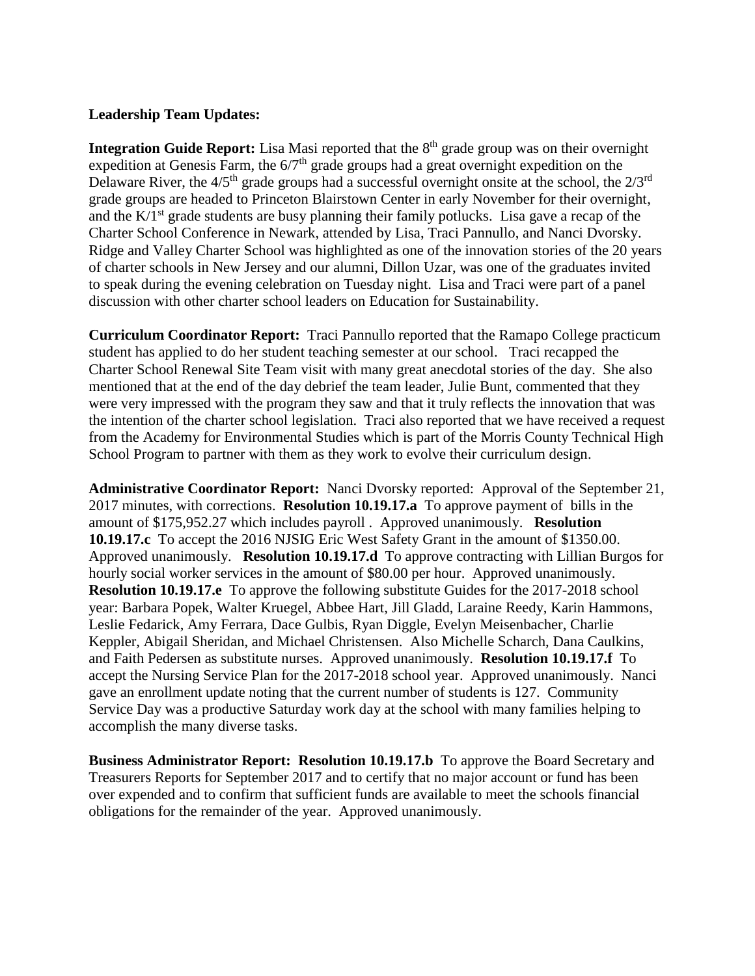# **Leadership Team Updates:**

**Integration Guide Report:** Lisa Masi reported that the 8<sup>th</sup> grade group was on their overnight expedition at Genesis Farm, the  $6/7<sup>th</sup>$  grade groups had a great overnight expedition on the Delaware River, the  $4/5<sup>th</sup>$  grade groups had a successful overnight onsite at the school, the  $2/3<sup>rd</sup>$ grade groups are headed to Princeton Blairstown Center in early November for their overnight, and the  $K/I<sup>st</sup>$  grade students are busy planning their family potlucks. Lisa gave a recap of the Charter School Conference in Newark, attended by Lisa, Traci Pannullo, and Nanci Dvorsky. Ridge and Valley Charter School was highlighted as one of the innovation stories of the 20 years of charter schools in New Jersey and our alumni, Dillon Uzar, was one of the graduates invited to speak during the evening celebration on Tuesday night. Lisa and Traci were part of a panel discussion with other charter school leaders on Education for Sustainability.

**Curriculum Coordinator Report:** Traci Pannullo reported that the Ramapo College practicum student has applied to do her student teaching semester at our school. Traci recapped the Charter School Renewal Site Team visit with many great anecdotal stories of the day. She also mentioned that at the end of the day debrief the team leader, Julie Bunt, commented that they were very impressed with the program they saw and that it truly reflects the innovation that was the intention of the charter school legislation. Traci also reported that we have received a request from the Academy for Environmental Studies which is part of the Morris County Technical High School Program to partner with them as they work to evolve their curriculum design.

**Administrative Coordinator Report:** Nanci Dvorsky reported: Approval of the September 21, 2017 minutes, with corrections. **Resolution 10.19.17.a** To approve payment of bills in the amount of \$175,952.27 which includes payroll . Approved unanimously. **Resolution 10.19.17.c** To accept the 2016 NJSIG Eric West Safety Grant in the amount of \$1350.00. Approved unanimously. **Resolution 10.19.17.d** To approve contracting with Lillian Burgos for hourly social worker services in the amount of \$80.00 per hour. Approved unanimously. **Resolution 10.19.17.e** To approve the following substitute Guides for the 2017-2018 school year: Barbara Popek, Walter Kruegel, Abbee Hart, Jill Gladd, Laraine Reedy, Karin Hammons, Leslie Fedarick, Amy Ferrara, Dace Gulbis, Ryan Diggle, Evelyn Meisenbacher, Charlie Keppler, Abigail Sheridan, and Michael Christensen. Also Michelle Scharch, Dana Caulkins, and Faith Pedersen as substitute nurses. Approved unanimously. **Resolution 10.19.17.f** To accept the Nursing Service Plan for the 2017-2018 school year. Approved unanimously. Nanci gave an enrollment update noting that the current number of students is 127. Community Service Day was a productive Saturday work day at the school with many families helping to accomplish the many diverse tasks.

**Business Administrator Report: Resolution 10.19.17.b** To approve the Board Secretary and Treasurers Reports for September 2017 and to certify that no major account or fund has been over expended and to confirm that sufficient funds are available to meet the schools financial obligations for the remainder of the year. Approved unanimously.